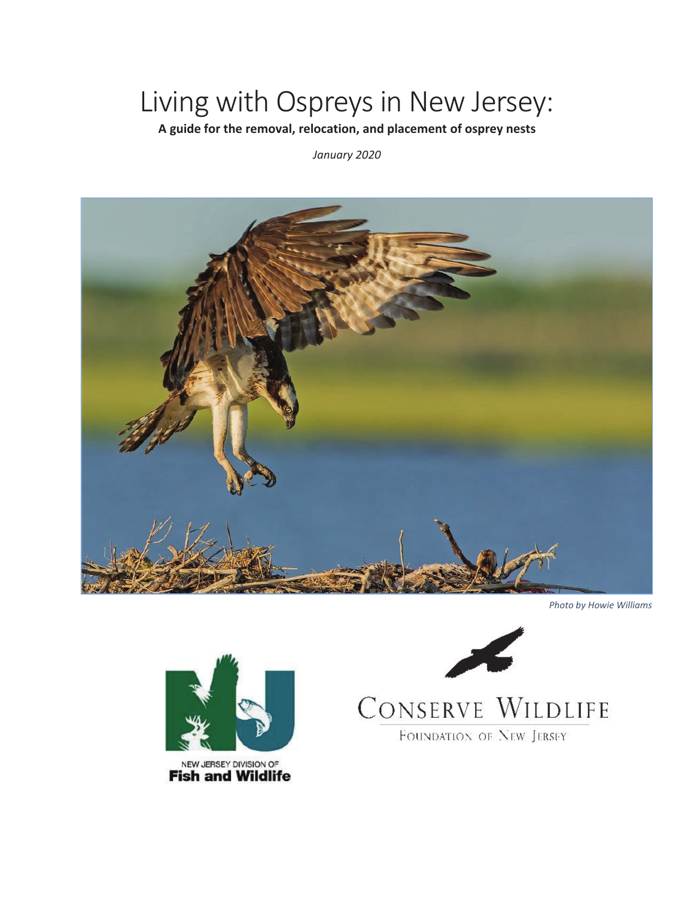### Living with Ospreys in New Jersey:

**A guide for the removal, relocation, and placement of osprey nests** 

January 2020



*Photo by Howie Williams* 



NEW JERSEY DIVISION OF<br>**Fish and Wildlife** 



# CONSERVE WILDLIFE

FOUNDATION OF NEW JERSEY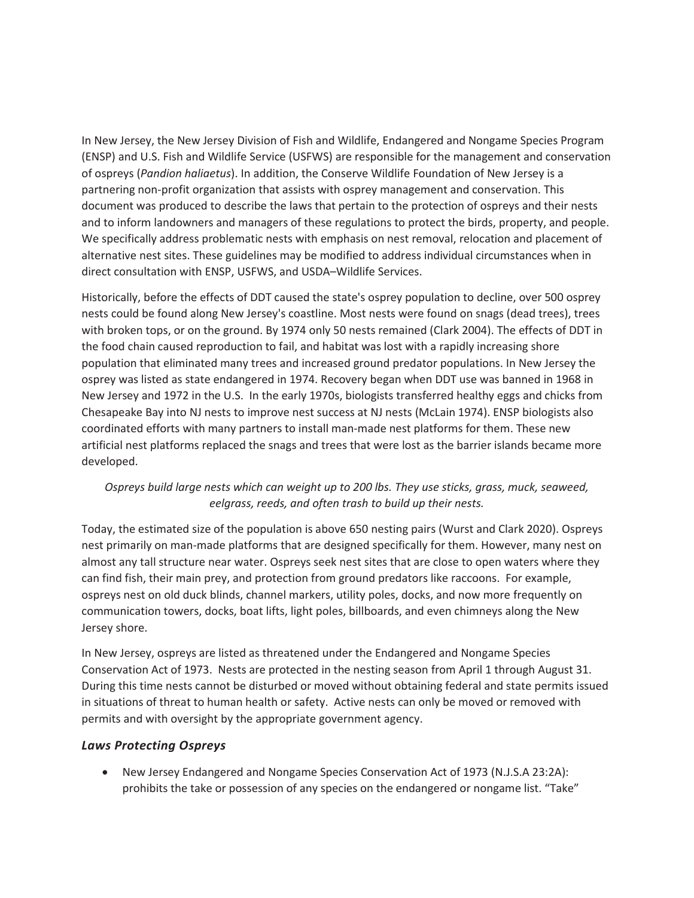In New Jersey, the New Jersey Division of Fish and Wildlife, Endangered and Nongame Species Program (ENSP) and U.S. Fish and Wildlife Service (USFWS) are responsible for the management and conservation of ospreys (*Pandion haliaetus*). In addition, the Conserve Wildlife Foundation of New Jersey is a partnering non-profit organization that assists with osprey management and conservation. This document was produced to describe the laws that pertain to the protection of ospreys and their nests and to inform landowners and managers of these regulations to protect the birds, property, and people. We specifically address problematic nests with emphasis on nest removal, relocation and placement of alternative nest sites. These guidelines may be modified to address individual circumstances when in direct consultation with ENSP, USFWS, and USDA–Wildlife Services.

Historically, before the effects of DDT caused the state's osprey population to decline, over 500 osprey nests could be found along New Jersey's coastline. Most nests were found on snags (dead trees), trees with broken tops, or on the ground. By 1974 only 50 nests remained (Clark 2004). The effects of DDT in the food chain caused reproduction to fail, and habitat was lost with a rapidly increasing shore population that eliminated many trees and increased ground predator populations. In New Jersey the osprey was listed as state endangered in 1974. Recovery began when DDT use was banned in 1968 in New Jersey and 1972 in the U.S. In the early 1970s, biologists transferred healthy eggs and chicks from Chesapeake Bay into NJ nests to improve nest success at NJ nests (McLain 1974). ENSP biologists also coordinated efforts with many partners to install man-made nest platforms for them. These new artificial nest platforms replaced the snags and trees that were lost as the barrier islands became more developed.

#### *Ospreys build large nests which can weight up to 200 lbs. They use sticks, grass, muck, seaweed, eelgrass, reeds, and often trash to build up their nests.*

Today, the estimated size of the population is above 650 nesting pairs (Wurst and Clark 2020). Ospreys nest primarily on man-made platforms that are designed specifically for them. However, many nest on almost any tall structure near water. Ospreys seek nest sites that are close to open waters where they can find fish, their main prey, and protection from ground predators like raccoons. For example, ospreys nest on old duck blinds, channel markers, utility poles, docks, and now more frequently on communication towers, docks, boat lifts, light poles, billboards, and even chimneys along the New Jersey shore.

In New Jersey, ospreys are listed as threatened under the Endangered and Nongame Species Conservation Act of 1973. Nests are protected in the nesting season from April 1 through August 31. During this time nests cannot be disturbed or moved without obtaining federal and state permits issued in situations of threat to human health or safety. Active nests can only be moved or removed with permits and with oversight by the appropriate government agency.

#### *Laws Protecting Ospreys*

• New Jersey Endangered and Nongame Species Conservation Act of 1973 (N.J.S.A 23:2A): prohibits the take or possession of any species on the endangered or nongame list. "Take"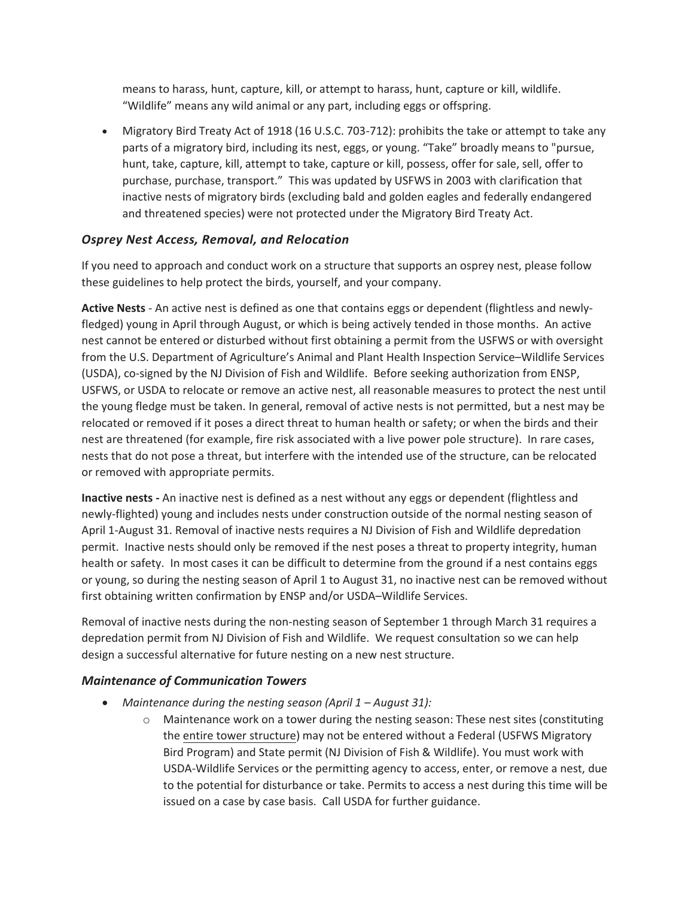means to harass, hunt, capture, kill, or attempt to harass, hunt, capture or kill, wildlife. "Wildlife" means any wild animal or any part, including eggs or offspring.

• Migratory Bird Treaty Act of 1918 (16 U.S.C. 703-712): prohibits the take or attempt to take any parts of a migratory bird, including its nest, eggs, or young. "Take" broadly means to "pursue, hunt, take, capture, kill, attempt to take, capture or kill, possess, offer for sale, sell, offer to purchase, purchase, transport." This was updated by USFWS in 2003 with clarification that inactive nests of migratory birds (excluding bald and golden eagles and federally endangered and threatened species) were not protected under the Migratory Bird Treaty Act.

### *Osprey Nest Access, Removal, and Relocation*

If you need to approach and conduct work on a structure that supports an osprey nest, please follow these guidelines to help protect the birds, yourself, and your company.

**Active Nests** - An active nest is defined as one that contains eggs or dependent (flightless and newlyfledged) young in April through August, or which is being actively tended in those months. An active nest cannot be entered or disturbed without first obtaining a permit from the USFWS or with oversight from the U.S. Department of Agriculture's Animal and Plant Health Inspection Service–Wildlife Services (USDA), co-signed by the NJ Division of Fish and Wildlife. Before seeking authorization from ENSP, USFWS, or USDA to relocate or remove an active nest, all reasonable measures to protect the nest until the young fledge must be taken. In general, removal of active nests is not permitted, but a nest may be relocated or removed if it poses a direct threat to human health or safety; or when the birds and their nest are threatened (for example, fire risk associated with a live power pole structure). In rare cases, nests that do not pose a threat, but interfere with the intended use of the structure, can be relocated or removed with appropriate permits.

**Inactive nests** - An inactive nest is defined as a nest without any eggs or dependent (flightless and newly-flighted) young and includes nests under construction outside of the normal nesting season of April 1-August 31. Removal of inactive nests requires a NJ Division of Fish and Wildlife depredation permit. Inactive nests should only be removed if the nest poses a threat to property integrity, human health or safety. In most cases it can be difficult to determine from the ground if a nest contains eggs or young, so during the nesting season of April 1 to August 31, no inactive nest can be removed without first obtaining written confirmation by ENSP and/or USDA–Wildlife Services.

Removal of inactive nests during the non-nesting season of September 1 through March 31 requires a depredation permit from NJ Division of Fish and Wildlife. We request consultation so we can help design a successful alternative for future nesting on a new nest structure.

#### *Maintenance of Communication Towers*

- x *Maintenance during the nesting season (April 1 August 31):*
	- $\circ$  Maintenance work on a tower during the nesting season: These nest sites (constituting the entire tower structure) may not be entered without a Federal (USFWS Migratory Bird Program) and State permit (NJ Division of Fish & Wildlife). You must work with USDA-Wildlife Services or the permitting agency to access, enter, or remove a nest, due to the potential for disturbance or take. Permits to access a nest during this time will be issued on a case by case basis. Call USDA for further guidance.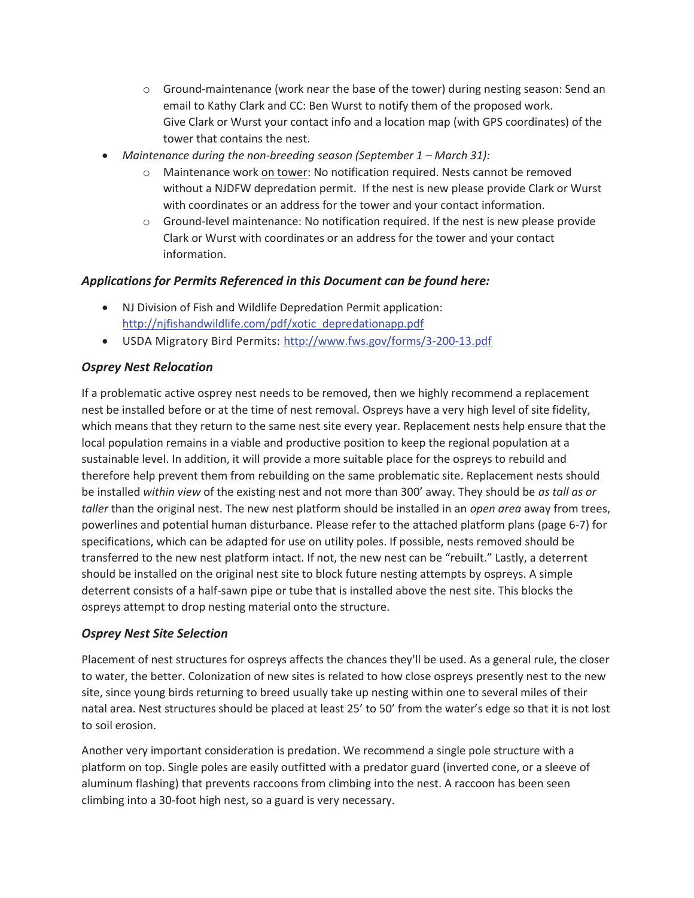- $\circ$  Ground-maintenance (work near the base of the tower) during nesting season: Send an email to Kathy Clark and CC: Ben Wurst to notify them of the proposed work. Give Clark or Wurst your contact info and a location map (with GPS coordinates) of the tower that contains the nest.
- x *Maintenance during the non-breeding season (September 1 March 31):*
	- o Maintenance work on tower: No notification required. Nests cannot be removed without a NJDFW depredation permit. If the nest is new please provide Clark or Wurst with coordinates or an address for the tower and your contact information.
	- $\circ$  Ground-level maintenance: No notification required. If the nest is new please provide Clark or Wurst with coordinates or an address for the tower and your contact information.

#### *Applications for Permits Referenced in this Document can be found here:*

- NJ Division of Fish and Wildlife Depredation Permit application: http://njfishandwildlife.com/pdf/xotic\_depredationapp.pdf
- USDA Migratory Bird Permits: http://www.fws.gov/forms/3-200-13.pdf

#### *Osprey Nest Relocation*

If a problematic active osprey nest needs to be removed, then we highly recommend a replacement nest be installed before or at the time of nest removal. Ospreys have a very high level of site fidelity, which means that they return to the same nest site every year. Replacement nests help ensure that the local population remains in a viable and productive position to keep the regional population at a sustainable level. In addition, it will provide a more suitable place for the ospreys to rebuild and therefore help prevent them from rebuilding on the same problematic site. Replacement nests should be installed *within view* of the existing nest and not more than 300' away. They should be *as tall as or taller* than the original nest. The new nest platform should be installed in an *open area* away from trees, powerlines and potential human disturbance. Please refer to the attached platform plans (page 6-7) for specifications, which can be adapted for use on utility poles. If possible, nests removed should be transferred to the new nest platform intact. If not, the new nest can be "rebuilt." Lastly, a deterrent should be installed on the original nest site to block future nesting attempts by ospreys. A simple deterrent consists of a half-sawn pipe or tube that is installed above the nest site. This blocks the ospreys attempt to drop nesting material onto the structure.

#### *Osprey Nest Site Selection*

Placement of nest structures for ospreys affects the chances they'll be used. As a general rule, the closer to water, the better. Colonization of new sites is related to how close ospreys presently nest to the new site, since young birds returning to breed usually take up nesting within one to several miles of their natal area. Nest structures should be placed at least 25' to 50' from the water's edge so that it is not lost to soil erosion.

Another very important consideration is predation. We recommend a single pole structure with a platform on top. Single poles are easily outfitted with a predator guard (inverted cone, or a sleeve of aluminum flashing) that prevents raccoons from climbing into the nest. A raccoon has been seen climbing into a 30-foot high nest, so a guard is very necessary.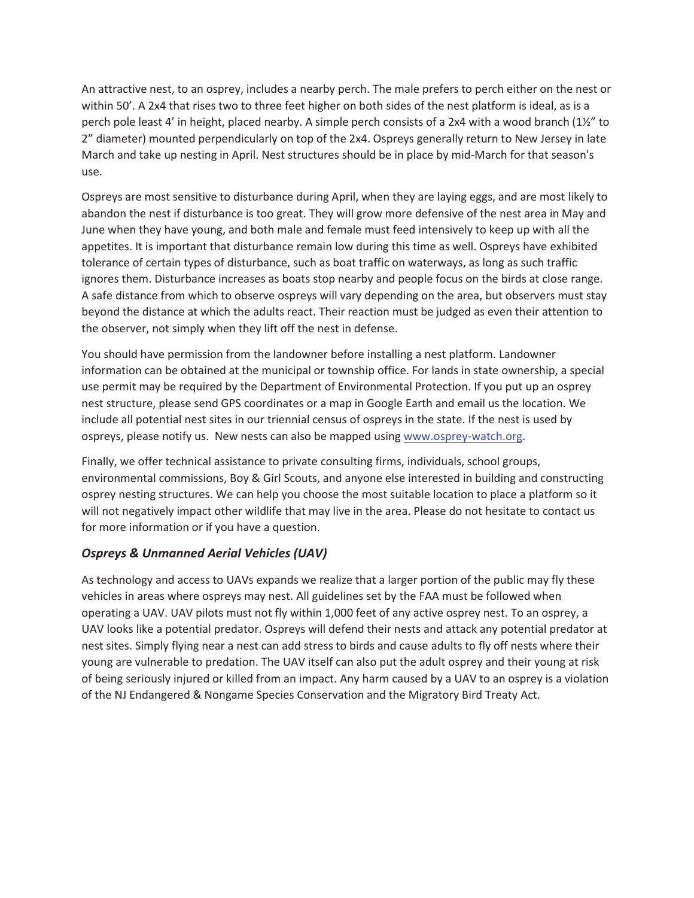An attractive nest, to an osprey, includes a nearby perch. The male prefers to perch either on the nest or within 50'. A 2x4 that rises two to three feet higher on both sides of the nest platform is ideal, as is a perch pole least 4' in height, placed nearby. A simple perch consists of a 2x4 with a wood branch (1½" to 2" diameter) mounted perpendicularly on top of the 2x4. Ospreys generally return to New Jersey in late March and take up nesting in April. Nest structures should be in place by mid-March for that season's use.

Ospreys are most sensitive to disturbance during April, when they are laying eggs, and are most likely to abandon the nest if disturbance is too great. They will grow more defensive of the nest area in May and June when they have young, and both male and female must feed intensively to keep up with all the appetites. It is important that disturbance remain low during this time as well. Ospreys have exhibited tolerance of certain types of disturbance, such as boat traffic on waterways, as long as such traffic ignores them. Disturbance increases as boats stop nearby and people focus on the birds at close range. A safe distance from which to observe ospreys will vary depending on the area, but observers must stay beyond the distance at which the adults react. Their reaction must be judged as even their attention to the observer, not simply when they lift off the nest in defense.

You should have permission from the landowner before installing a nest platform. Landowner information can be obtained at the municipal or township office. For lands in state ownership, a special use permit may be required by the Department of Environmental Protection. If you put up an osprey nest structure, please send GPS coordinates or a map in Google Earth and email us the location. We include all potential nest sites in our triennial census of ospreys in the state. If the nest is used by ospreys, please notify us. New nests can also be mapped using www.osprey-watch.org.

Finally, we offer technical assistance to private consulting firms, individuals, school groups, environmental commissions, Boy & Girl Scouts, and anyone else interested in building and constructing osprey nesting structures. We can help you choose the most suitable location to place a platform so it will not negatively impact other wildlife that may live in the area. Please do not hesitate to contact us for more information or if you have a question.

### *Ospreys & Unmanned Aerial Vehicles (UAV)*

As technology and access to UAVs expands we realize that a larger portion of the public may fly these vehicles in areas where ospreys may nest. All guidelines set by the FAA must be followed when operating a UAV. UAV pilots must not fly within 1,000 feet of any active osprey nest. To an osprey, a UAV looks like a potential predator. Ospreys will defend their nests and attack any potential predator at nest sites. Simply flying near a nest can add stress to birds and cause adults to fly off nests where their young are vulnerable to predation. The UAV itself can also put the adult osprey and their young at risk of being seriously injured or killed from an impact. Any harm caused by a UAV to an osprey is a violation of the NJ Endangered & Nongame Species Conservation and the Migratory Bird Treaty Act.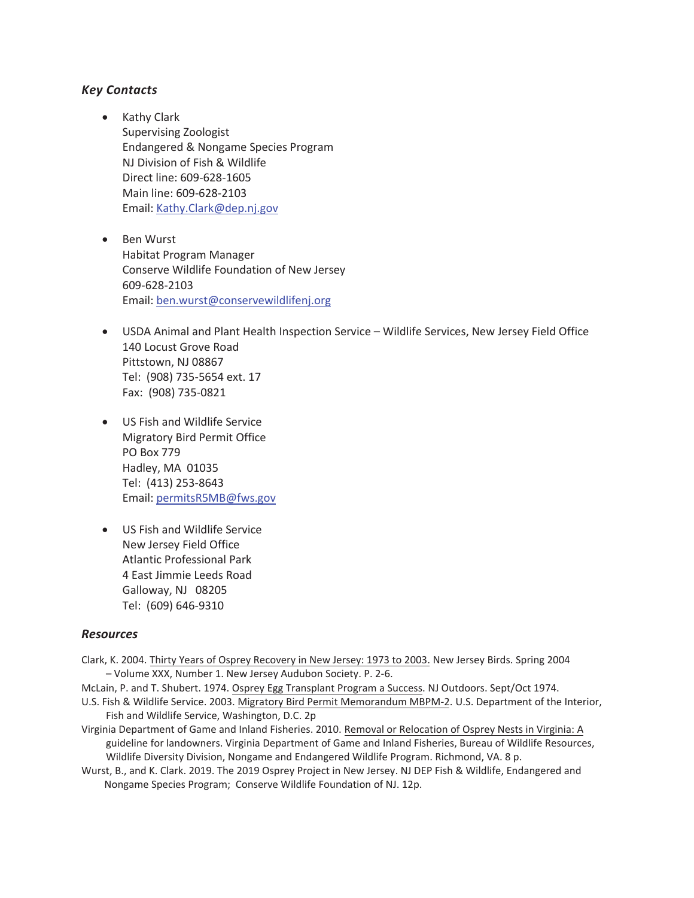#### *Key Contacts*

- Kathy Clark Supervising Zoologist Endangered & Nongame Species Program NJ Division of Fish & Wildlife Direct line: 609-628-1605 Main line: 609-628-2103 Email: Kathy.Clark@dep.nj.gov
- Ben Wurst Habitat Program Manager Conserve Wildlife Foundation of New Jersey 609-628-2103 Email: ben.wurst@conservewildlifenj.org
- USDA Animal and Plant Health Inspection Service Wildlife Services, New Jersey Field Office 140 Locust Grove Road Pittstown, NJ 08867 Tel: (908) 735-5654 ext. 17 Fax: (908) 735-0821
- US Fish and Wildlife Service Migratory Bird Permit Office PO Box 779 Hadley, MA 01035 Tel: (413) 253-8643 Email: permitsR5MB@fws.gov
- US Fish and Wildlife Service New Jersey Field Office Atlantic Professional Park 4 East Jimmie Leeds Road Galloway, NJ 08205 Tel: (609) 646-9310

#### *Resources*

- Clark, K͘ 2004. Thirty Years of Osprey Recovery in New Jersey: 1973 to 2003. New Jersey Birds. Spring 2004 – Volume XXX, Number 1. New Jersey Audubon Society. P. 2-6.
- McLain, P. and T. Shubert. 1974. Osprey Egg Transplant Program a Success. NJ Outdoors. Sept/Oct 1974.
- U.S. Fish & Wildlife Service. 2003. Migratory Bird Permit Memorandum MBPM-2. U.S. Department of the Interior, Fish and Wildlife Service, Washington, D.C. 2p
- Virginia Department of Game and Inland Fisheries. 2010. Removal or Relocation of Osprey Nests in Virginia: A guideline for landowners. Virginia Department of Game and Inland Fisheries, Bureau of Wildlife Resources, Wildlife Diversity Division, Nongame and Endangered Wildlife Program. Richmond, VA. 8 p.
- Wurst, B., and K. Clark. 2019. The 2019 Osprey Project in New Jersey. NJ DEP Fish & Wildlife, Endangered and Nongame Species Program; Conserve Wildlife Foundation of NJ. 12p.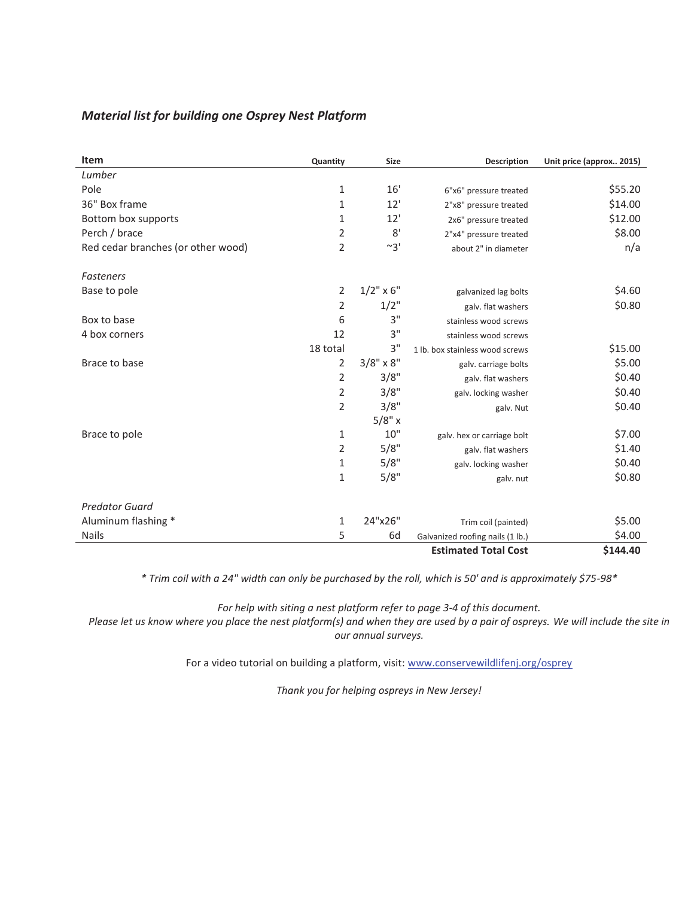#### *Material list for building one Osprey Nest Platform*

| <b>Item</b>                        | Quantity       | Size             | <b>Description</b>               | Unit price (approx 2015) |
|------------------------------------|----------------|------------------|----------------------------------|--------------------------|
| Lumber                             |                |                  |                                  |                          |
| Pole                               | 1              | 16'              | 6"x6" pressure treated           | \$55.20                  |
| 36" Box frame                      | 1              | 12'              | 2"x8" pressure treated           | \$14.00                  |
| Bottom box supports                | 1              | 12'              | 2x6" pressure treated            | \$12.00                  |
| Perch / brace                      | 2              | 8'               | 2"x4" pressure treated           | \$8.00                   |
| Red cedar branches (or other wood) | $\overline{2}$ | $~^{\sim}3'$     | about 2" in diameter             | n/a                      |
| <b>Fasteners</b>                   |                |                  |                                  |                          |
| Base to pole                       | $\overline{2}$ | $1/2$ " x 6"     | galvanized lag bolts             | \$4.60                   |
|                                    | 2              | $1/2$ "          | galv. flat washers               | \$0.80                   |
| Box to base                        | 6              | 3"               | stainless wood screws            |                          |
| 4 box corners                      | 12             | 3"               | stainless wood screws            |                          |
|                                    | 18 total       | 3"               | 1 lb. box stainless wood screws  | \$15.00                  |
| Brace to base                      | 2              | $3/8" \times 8"$ | galv. carriage bolts             | \$5.00                   |
|                                    | 2              | 3/8"             | galv. flat washers               | \$0.40                   |
|                                    | $\overline{2}$ | 3/8"             | galv. locking washer             | \$0.40                   |
|                                    | 2              | 3/8"             | galv. Nut                        | \$0.40                   |
|                                    |                | 5/8" x           |                                  |                          |
| Brace to pole                      | 1              | 10"              | galv. hex or carriage bolt       | \$7.00                   |
|                                    | 2              | 5/8"             | galv. flat washers               | \$1.40                   |
|                                    | 1              | 5/8"             | galv. locking washer             | \$0.40                   |
|                                    | 1              | 5/8"             | galv. nut                        | \$0.80                   |
| <b>Predator Guard</b>              |                |                  |                                  |                          |
| Aluminum flashing *                | 1              | 24"x26"          | Trim coil (painted)              | \$5.00                   |
| <b>Nails</b>                       | 5              | 6d               | Galvanized roofing nails (1 lb.) | \$4.00                   |
|                                    |                |                  | <b>Estimated Total Cost</b>      | \$144.40                 |

*\* Trim coil with a 24" width can only be purchased by the roll, which is 50' and is approximately \$75-98\**

*For help with siting a nest platform refer to page 3-4 of this document.* 

*Please let us know where you place the nest platform(s) and when they are used by a pair of ospreys. We will include the site in our annual surveys.* 

For a video tutorial on building a platform, visit: www.conservewildlifenj.org/osprey

*Thank you for helping ospreys in New Jersey!*